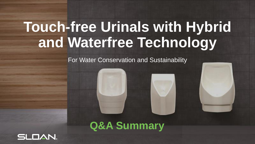For Water Conservation and Sustainability

### **Q&A Summary**

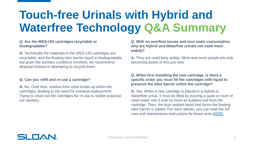#### **Q: Are the WES-150 cartridges recyclable or biodegradable?**

**A:** Technically the materials in the WES-150 cartridges are recyclable, and the floating odor barrier liquid is biodegradable, but given the sanitary conditions involved, we recommend disposal instead of attempting to recycle them.

#### **Q: Can you refill and re-use a cartridge?**

**A:** No. Over time, residue from urine builds up within the cartridges, leading to the need for eventual replacement. Trying to clean out the cartridges for re-use is neither practical nor sanitary.

**Q: With no overflow issues and zero water consumption, why are Hybrid and Waterfree urinals not used more widely?**

**A:** They are used fairly widely. More and more people are only becoming aware of this just now.

#### **Q: When first installing the new cartridge, is there a specific order you must fill the cartridges with liquid to preserve the odor barrier within the cartridge?**

**A:** Yes. When a new cartridge is placed in a Hybrid or Waterfree urinal, it must be filled by pouring a quart or more of clean water into it until no more air bubbles exit from the cartridge. Then, the blue sealant liquid that forms the floating odor barrier is added. For more details, you can read the full care and maintenance instructions for these units [HERE](https://www.sloan.com/sites/default/files/2020-03/Hybrid_Urinal_Series_Maint_Guide.pdf).

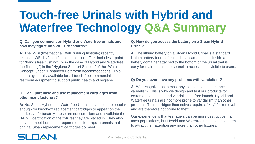#### **Q: Can you comment on Hybrid and Waterfree urinals and how they figure into WELL standards?**

**A:** The IWBI (International Well Building Institute) recently released WELL v2 certification guidelines. This includes 1 point for "hands free flushing" (or in the case of Hybrid and Waterfree, "no flushing") in the "Hygiene Support Section" of the "Water Concept" under "Enhanced Bathroom Accommodations." This point is generally available for all touch-free commercial restroom equipment to support public health and hygiene.

#### **Q: Can I purchase and use replacement cartridges from other manufacturers?**

**A:** No. Sloan Hybrid and Waterfree Urinals have become popular enough for knock-off replacement cartridges to appear on the market. Unfortunately, these are not compliant and invalidate the IAPMO certification of the fixtures they are placed in. They also may not meet local code requirements for traps in urinals that original Sloan replacement cartridges do meet.

#### **Q: How do you access the battery on a Sloan Hybrid Urinal?**

**A:** The lithium battery on a Sloan Hybrid Urinal is a standard lithium battery found often in digital cameras. It is inside a battery container attached to the bottom of the urinal that is easy for maintenance personnel to access but invisible to users.

#### **Q: Do you ever have any problems with vandalism?**

**A:** We recognize that almost any location can experience vandalism. This is why we design and test our products for extreme use, abuse, and vandalism before launch. Hybrid and Waterfree urinals are not more prone to vandalism than other products. The cartridges themselves require a "key" for removal and are therefore not prone to theft.

Our experience is that teenagers can be more destructive than most populations, but Hybrid and Waterfree urinals do not seem to attract their attention any more than other fixtures.

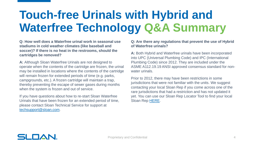**Q: How well does a Waterfree urinal work in seasonal use stadiums in cold weather climates (like baseball and soccer)? If there is no heat in the restrooms, should the cartridges be removed?**

**A:** Although Sloan Waterfree Urinals are not designed to operate when the contents of the cartridge are frozen, the urinal may be installed in locations where the contents of the cartridge will remain frozen for extended periods of time (e.g. parks, campgrounds, etc.). A frozen cartridge will maintain a trap, thereby preventing the escape of sewer gases during months when the system is frozen and out of service.

If you have questions about how to re-start Sloan Waterfree Urinals that have been frozen for an extended period of time, please contact Sloan Technical Service for support at [techsupport@sloan.com](mailto:techsupport@sloan.com).

#### **Q: Are there any regulations that prevent the use of Hybrid of Waterfree urinals?**

**A:** Both Hybrid and Waterfree urinals have been incorporated into UPC (Universal Plumbing Code) and IPC (International Plumbing Code) since 2012. They are included under the ASME A112.19.19 ANSI approved consensus standard for nonwater urinals.

Prior to 2012, there may have been restrictions in some jurisdictions that were not familiar with the units. We suggest contacting your local Sloan Rep if you come across one of the rare jurisdictions that had a restriction and has not updated it yet. You can use our Sloan Rep Locator Tool to find your local Sloan Rep [HERE](https://www.sloan.com/company/support/where-to-buy).

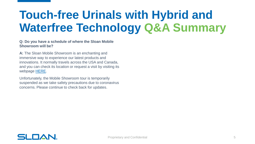#### **Q: Do you have a schedule of where the Sloan Mobile Showroom will be?**

**A:** The Sloan Mobile Showroom is an enchanting and immersive way to experience our latest products and innovations. It normally travels across the USA and Canada, and you can check its location or request a visit by visiting its webpage [HERE.](https://www.sloan.com/design/innovations/mobile-showroom)

Unfortunately, the Mobile Showroom tour is temporarily suspended as we take safety precautions due to coronavirus concerns. Please continue to check back for updates.

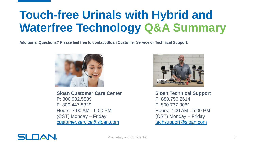**Additional Questions? Please feel free to contact Sloan Customer Service or Technical Support.**



**Sloan Customer Care Center** P: 800.982.5839 F: 800.447.8329 Hours: 7:00 AM - 5:00 PM (CST) Monday – Friday [customer.service@sloan.com](mailto:customer.service@sloan.com)



**Sloan Technical Support** P: 888.756.2614 F: 800.737.3061 Hours: 7:00 AM - 5:00 PM (CST) Monday – Friday [techsupport@sloan.com](mailto:techsupport@sloan.com)